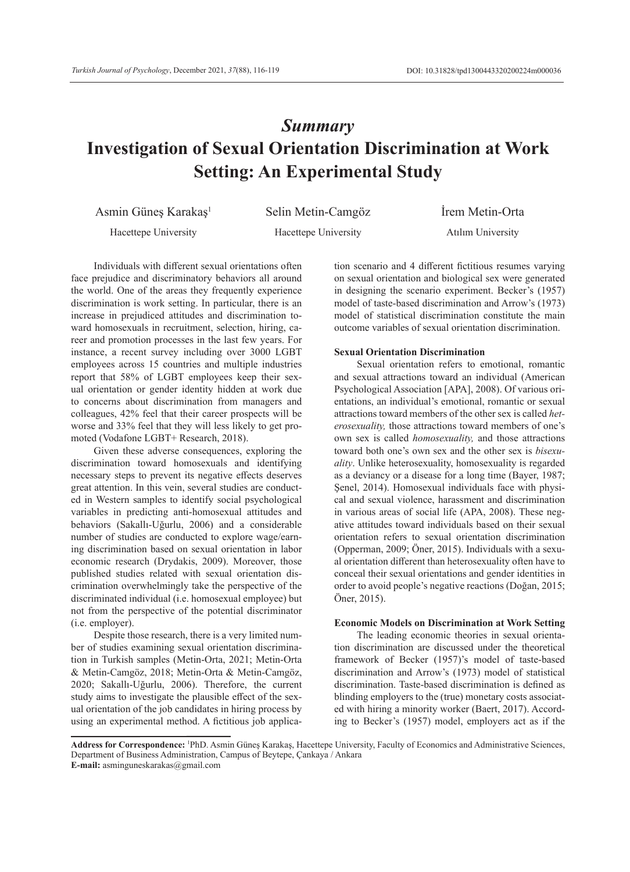# *Summary* **Investigation of Sexual Orientation Discrimination at Work Setting: An Experimental Study**

Asmin Güneş Karakaş<sup>1</sup> Selin Metin-Camgöz İrem Metin-Orta

Hacettepe University Hacettepe University Atılım University

Individuals with different sexual orientations often face prejudice and discriminatory behaviors all around the world. One of the areas they frequently experience discrimination is work setting. In particular, there is an increase in prejudiced attitudes and discrimination toward homosexuals in recruitment, selection, hiring, career and promotion processes in the last few years. For instance, a recent survey including over 3000 LGBT employees across 15 countries and multiple industries report that 58% of LGBT employees keep their sexual orientation or gender identity hidden at work due to concerns about discrimination from managers and colleagues, 42% feel that their career prospects will be worse and 33% feel that they will less likely to get promoted (Vodafone LGBT+ Research, 2018).

Given these adverse consequences, exploring the discrimination toward homosexuals and identifying necessary steps to prevent its negative effects deserves great attention. In this vein, several studies are conducted in Western samples to identify social psychological variables in predicting anti-homosexual attitudes and behaviors (Sakallı-Uğurlu, 2006) and a considerable number of studies are conducted to explore wage/earning discrimination based on sexual orientation in labor economic research (Drydakis, 2009). Moreover, those published studies related with sexual orientation discrimination overwhelmingly take the perspective of the discriminated individual (i.e. homosexual employee) but not from the perspective of the potential discriminator (i.e. employer).

Despite those research, there is a very limited number of studies examining sexual orientation discrimination in Turkish samples (Metin-Orta, 2021; Metin-Orta & Metin-Camgöz, 2018; Metin-Orta & Metin-Camgöz, 2020; Sakallı-Uğurlu, 2006). Therefore, the current study aims to investigate the plausible effect of the sexual orientation of the job candidates in hiring process by using an experimental method. A fictitious job application scenario and 4 different fictitious resumes varying on sexual orientation and biological sex were generated in designing the scenario experiment. Becker's (1957) model of taste-based discrimination and Arrow's (1973) model of statistical discrimination constitute the main outcome variables of sexual orientation discrimination.

## **Sexual Orientation Discrimination**

Sexual orientation refers to emotional, romantic and sexual attractions toward an individual (American Psychological Association [APA], 2008). Of various orientations, an individual's emotional, romantic or sexual attractions toward members of the other sex is called *heterosexuality,* those attractions toward members of one's own sex is called *homosexuality,* and those attractions toward both one's own sex and the other sex is *bisexuality*. Unlike heterosexuality, homosexuality is regarded as a deviancy or a disease for a long time (Bayer, 1987; Şenel, 2014). Homosexual individuals face with physical and sexual violence, harassment and discrimination in various areas of social life (APA, 2008). These negative attitudes toward individuals based on their sexual orientation refers to sexual orientation discrimination (Opperman, 2009; Öner, 2015). Individuals with a sexual orientation different than heterosexuality often have to conceal their sexual orientations and gender identities in order to avoid people's negative reactions (Doğan, 2015; Öner, 2015).

#### **Economic Models on Discrimination at Work Setting**

The leading economic theories in sexual orientation discrimination are discussed under the theoretical framework of Becker (1957)'s model of taste-based discrimination and Arrow's (1973) model of statistical discrimination. Taste-based discrimination is defined as blinding employers to the (true) monetary costs associated with hiring a minority worker (Baert, 2017). According to Becker's (1957) model, employers act as if the

**Address for Correspondence:** <sup>1</sup> PhD. Asmin Güneş Karakaş, Hacettepe University, Faculty of Economics and Administrative Sciences, Department of Business Administration, Campus of Beytepe, Çankaya / Ankara

**E-mail:** asminguneskarakas@gmail.com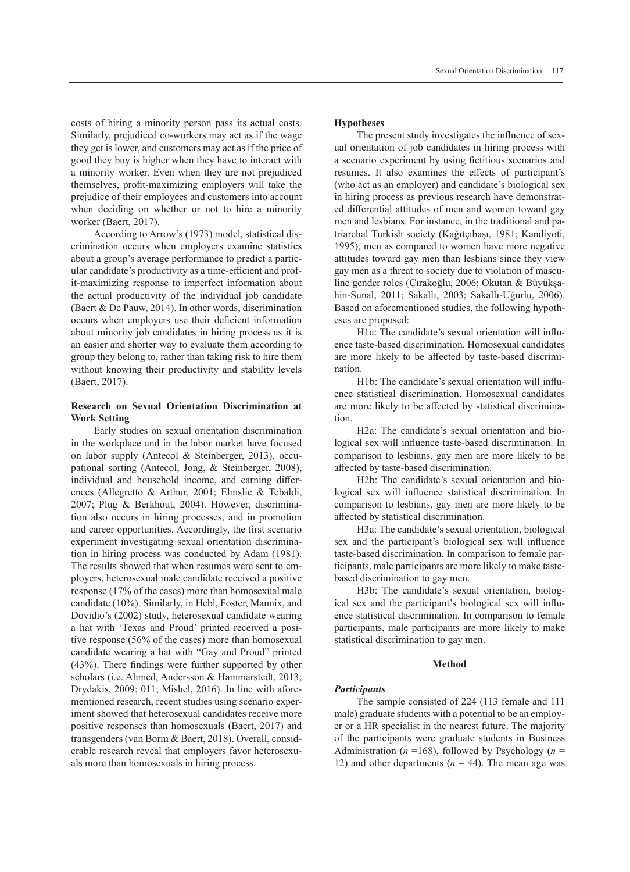costs of hiring a minority person pass its actual costs. Similarly, prejudiced co-workers may act as if the wage they get is lower, and customers may act as if the price of good they buy is higher when they have to interact with a minority worker. Even when they are not prejudiced themselves, profit-maximizing employers will take the prejudice of their employees and customers into account when deciding on whether or not to hire a minority worker (Baert, 2017).

According to Arrow's (1973) model, statistical discrimination occurs when employers examine statistics about a group's average performance to predict a particular candidate's productivity as a time-efficient and profit-maximizing response to imperfect information about the actual productivity of the individual job candidate (Baert & De Pauw, 2014). In other words, discrimination occurs when employers use their deficient information about minority job candidates in hiring process as it is an easier and shorter way to evaluate them according to group they belong to, rather than taking risk to hire them without knowing their productivity and stability levels (Baert, 2017).

## **Research on Sexual Orientation Discrimination at Work Setting**

Early studies on sexual orientation discrimination in the workplace and in the labor market have focused on labor supply (Antecol & Steinberger, 2013), occupational sorting (Antecol, Jong, & Steinberger, 2008), individual and household income, and earning differences (Allegretto & Arthur, 2001; Elmslie & Tebaldi, 2007; Plug & Berkhout, 2004). However, discrimination also occurs in hiring processes, and in promotion and career opportunities. Accordingly, the first scenario experiment investigating sexual orientation discrimination in hiring process was conducted by Adam (1981). The results showed that when resumes were sent to employers, heterosexual male candidate received a positive response (17% of the cases) more than homosexual male candidate (10%). Similarly, in Hebl, Foster, Mannix, and Dovidio's (2002) study, heterosexual candidate wearing a hat with 'Texas and Proud' printed received a positive response (56% of the cases) more than homosexual candidate wearing a hat with "Gay and Proud" printed (43%). There findings were further supported by other scholars (i.e. Ahmed, Andersson & Hammarstedt, 2013; Drydakis, 2009; 011; Mishel, 2016). In line with aforementioned research, recent studies using scenario experiment showed that heterosexual candidates receive more positive responses than homosexuals (Baert, 2017) and transgenders (van Borm & Baert, 2018). Overall, considerable research reveal that employers favor heterosexuals more than homosexuals in hiring process.

## **Hypotheses**

The present study investigates the influence of sexual orientation of job candidates in hiring process with a scenario experiment by using fictitious scenarios and resumes. It also examines the effects of participant's (who act as an employer) and candidate's biological sex in hiring process as previous research have demonstrated differential attitudes of men and women toward gay men and lesbians. For instance, in the traditional and patriarchal Turkish society (Kağıtçıbaşı, 1981; Kandiyoti, 1995), men as compared to women have more negative attitudes toward gay men than lesbians since they view gay men as a threat to society due to violation of masculine gender roles (Çırakoğlu, 2006; Okutan & Büyükşahin-Sunal, 2011; Sakallı, 2003; Sakallı-Uğurlu, 2006). Based on aforementioned studies, the following hypotheses are proposed:

H1a: The candidate's sexual orientation will influence taste-based discrimination. Homosexual candidates are more likely to be affected by taste-based discrimination.

H1b: The candidate's sexual orientation will influence statistical discrimination. Homosexual candidates are more likely to be affected by statistical discrimination.

H2a: The candidate's sexual orientation and biological sex will influence taste-based discrimination. In comparison to lesbians, gay men are more likely to be affected by taste-based discrimination.

H2b: The candidate's sexual orientation and biological sex will influence statistical discrimination. In comparison to lesbians, gay men are more likely to be affected by statistical discrimination.

H3a: The candidate's sexual orientation, biological sex and the participant's biological sex will influence taste-based discrimination. In comparison to female participants, male participants are more likely to make tastebased discrimination to gay men.

H3b: The candidate's sexual orientation, biological sex and the participant's biological sex will influence statistical discrimination. In comparison to female participants, male participants are more likely to make statistical discrimination to gay men.

#### **Method**

#### *Participants*

The sample consisted of 224 (113 female and 111 male) graduate students with a potential to be an employer or a HR specialist in the nearest future. The majority of the participants were graduate students in Business Administration ( $n = 168$ ), followed by Psychology ( $n =$ 12) and other departments ( $n = 44$ ). The mean age was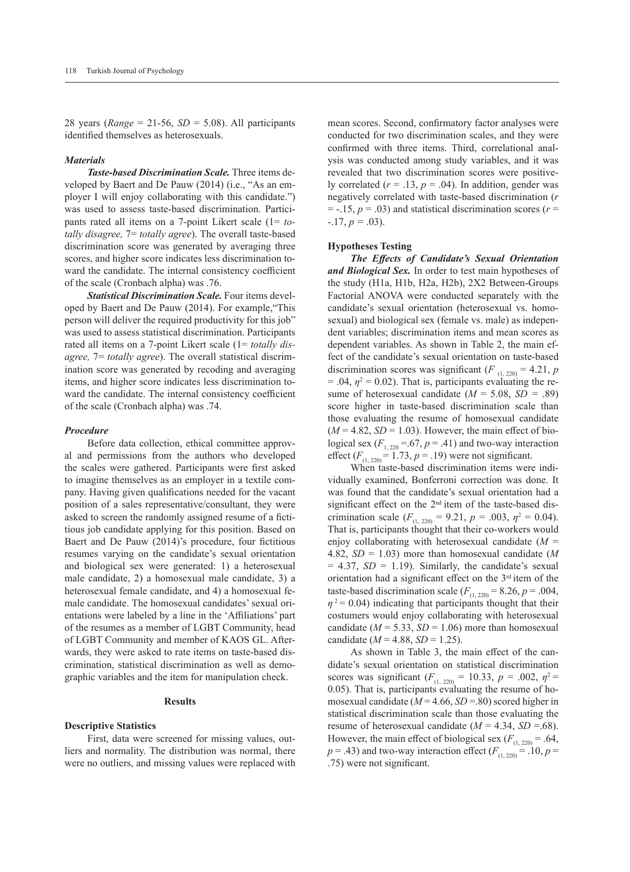28 years ( $Range = 21-56$ ,  $SD = 5.08$ ). All participants identified themselves as heterosexuals.

## *Materials*

*Taste-based Discrimination Scale.* Three items developed by Baert and De Pauw (2014) (i.e., "As an employer I will enjoy collaborating with this candidate.") was used to assess taste-based discrimination. Participants rated all items on a 7-point Likert scale (1= *totally disagree,* 7= *totally agree*). The overall taste-based discrimination score was generated by averaging three scores, and higher score indicates less discrimination toward the candidate. The internal consistency coefficient of the scale (Cronbach alpha) was .76.

*Statistical Discrimination Scale.* Four items developed by Baert and De Pauw (2014). For example,"This person will deliver the required productivity for this job" was used to assess statistical discrimination. Participants rated all items on a 7-point Likert scale (1= *totally disagree,* 7= *totally agree*). The overall statistical discrimination score was generated by recoding and averaging items, and higher score indicates less discrimination toward the candidate. The internal consistency coefficient of the scale (Cronbach alpha) was .74.

## *Procedure*

Before data collection, ethical committee approval and permissions from the authors who developed the scales were gathered. Participants were first asked to imagine themselves as an employer in a textile company. Having given qualifications needed for the vacant position of a sales representative/consultant, they were asked to screen the randomly assigned resume of a fictitious job candidate applying for this position. Based on Baert and De Pauw (2014)'s procedure, four fictitious resumes varying on the candidate's sexual orientation and biological sex were generated: 1) a heterosexual male candidate, 2) a homosexual male candidate, 3) a heterosexual female candidate, and 4) a homosexual female candidate. The homosexual candidates' sexual orientations were labeled by a line in the 'Affiliations' part of the resumes as a member of LGBT Community, head of LGBT Community and member of KAOS GL. Afterwards, they were asked to rate items on taste-based discrimination, statistical discrimination as well as demographic variables and the item for manipulation check.

# **Results**

#### **Descriptive Statistics**

First, data were screened for missing values, outliers and normality. The distribution was normal, there were no outliers, and missing values were replaced with mean scores. Second, confirmatory factor analyses were conducted for two discrimination scales, and they were confirmed with three items. Third, correlational analysis was conducted among study variables, and it was revealed that two discrimination scores were positively correlated  $(r = .13, p = .04)$ . In addition, gender was negatively correlated with taste-based discrimination (*r*   $=$  -.15,  $p = .03$ ) and statistical discrimination scores ( $r =$  $-.17, p = .03$ ).

#### **Hypotheses Testing**

*The Effects of Candidate's Sexual Orientation and Biological Sex.* In order to test main hypotheses of the study (H1a, H1b, H2a, H2b), 2X2 Between-Groups Factorial ANOVA were conducted separately with the candidate's sexual orientation (heterosexual vs. homosexual) and biological sex (female vs. male) as independent variables; discrimination items and mean scores as dependent variables. As shown in Table 2, the main effect of the candidate's sexual orientation on taste-based discrimination scores was significant ( $F_{(1, 220)} = 4.21$ , *p*  $= .04$ ,  $\eta^2 = 0.02$ ). That is, participants evaluating the resume of heterosexual candidate (*M* = 5.08, *SD =* .89) score higher in taste-based discrimination scale than those evaluating the resume of homosexual candidate  $(M = 4.82, SD = 1.03)$ . However, the main effect of biological sex  $(F_{1, 220} = .67, p = .41)$  and two-way interaction effect  $(F_{(1, 220)} = 1.73, p = .19)$  were not significant.

When taste-based discrimination items were individually examined, Bonferroni correction was done. It was found that the candidate's sexual orientation had a significant effect on the 2nd item of the taste-based discrimination scale ( $F_{(1, 220)} = 9.21$ ,  $p = .003$ ,  $\eta^2 = 0.04$ ). That is, participants thought that their co-workers would enjoy collaborating with heterosexual candidate (*M* = 4.82, *SD* = 1.03) more than homosexual candidate (*M*   $= 4.37$ ,  $SD = 1.19$ ). Similarly, the candidate's sexual orientation had a significant effect on the 3<sup>rd</sup> item of the taste-based discrimination scale  $(F_{(1, 220)} = 8.26, p = .004,$  $\eta$ <sup>2</sup> = 0.04) indicating that participants thought that their costumers would enjoy collaborating with heterosexual candidate ( $M = 5.33$ ,  $SD = 1.06$ ) more than homosexual candidate  $(M = 4.88, SD = 1.25)$ .

As shown in Table 3, the main effect of the candidate's sexual orientation on statistical discrimination scores was significant  $(F_{(1, 220)} = 10.33, p = .002, \eta^2 =$ 0.05). That is, participants evaluating the resume of homosexual candidate (*M* = 4.66, *SD* =.80) scored higher in statistical discrimination scale than those evaluating the resume of heterosexual candidate  $(M = 4.34, SD = .68)$ . However, the main effect of biological sex  $(F_{(1, 220)} = .64,$  $p = .43$ ) and two-way interaction effect  $(F_{(1, 220)} = .10, p =$ .75) were not significant.